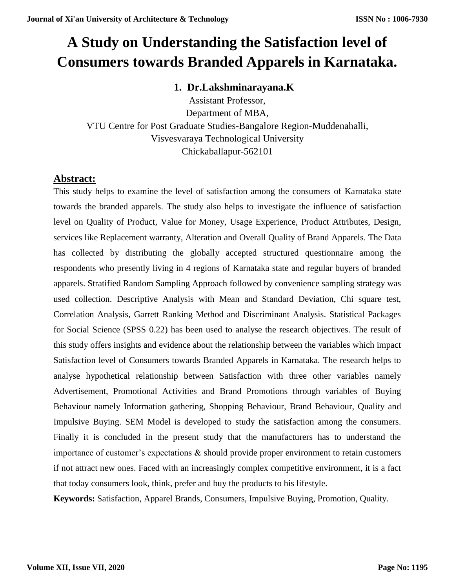# **A Study on Understanding the Satisfaction level of Consumers towards Branded Apparels in Karnataka.**

### **1. Dr.Lakshminarayana.K**

Assistant Professor, Department of MBA, VTU Centre for Post Graduate Studies-Bangalore Region-Muddenahalli, Visvesvaraya Technological University Chickaballapur-562101

### **Abstract:**

This study helps to examine the level of satisfaction among the consumers of Karnataka state towards the branded apparels. The study also helps to investigate the influence of satisfaction level on Quality of Product, Value for Money, Usage Experience, Product Attributes, Design, services like Replacement warranty, Alteration and Overall Quality of Brand Apparels. The Data has collected by distributing the globally accepted structured questionnaire among the respondents who presently living in 4 regions of Karnataka state and regular buyers of branded apparels. Stratified Random Sampling Approach followed by convenience sampling strategy was used collection. Descriptive Analysis with Mean and Standard Deviation, Chi square test, Correlation Analysis, Garrett Ranking Method and Discriminant Analysis. Statistical Packages for Social Science (SPSS 0.22) has been used to analyse the research objectives. The result of this study offers insights and evidence about the relationship between the variables which impact Satisfaction level of Consumers towards Branded Apparels in Karnataka. The research helps to analyse hypothetical relationship between Satisfaction with three other variables namely Advertisement, Promotional Activities and Brand Promotions through variables of Buying Behaviour namely Information gathering, Shopping Behaviour, Brand Behaviour, Quality and Impulsive Buying. SEM Model is developed to study the satisfaction among the consumers. Finally it is concluded in the present study that the manufacturers has to understand the importance of customer's expectations & should provide proper environment to retain customers if not attract new ones. Faced with an increasingly complex competitive environment, it is a fact that today consumers look, think, prefer and buy the products to his lifestyle.

**Keywords:** Satisfaction, Apparel Brands, Consumers, Impulsive Buying, Promotion, Quality.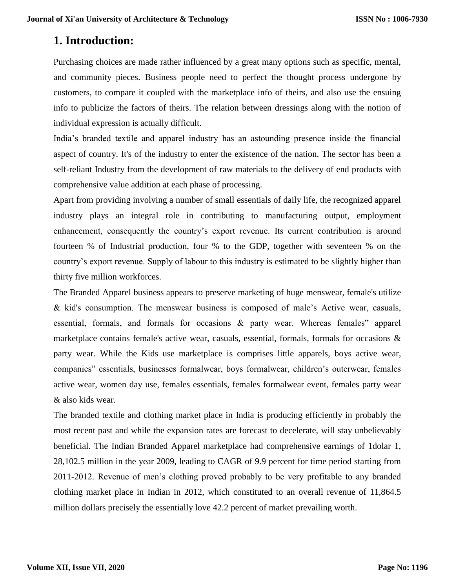# **1. Introduction:**

Purchasing choices are made rather influenced by a great many options such as specific, mental, and community pieces. Business people need to perfect the thought process undergone by customers, to compare it coupled with the marketplace info of theirs, and also use the ensuing info to publicize the factors of theirs. The relation between dressings along with the notion of individual expression is actually difficult.

India's branded textile and apparel industry has an astounding presence inside the financial aspect of country. It's of the industry to enter the existence of the nation. The sector has been a self-reliant Industry from the development of raw materials to the delivery of end products with comprehensive value addition at each phase of processing.

Apart from providing involving a number of small essentials of daily life, the recognized apparel industry plays an integral role in contributing to manufacturing output, employment enhancement, consequently the country's export revenue. Its current contribution is around fourteen % of Industrial production, four % to the GDP, together with seventeen % on the country's export revenue. Supply of labour to this industry is estimated to be slightly higher than thirty five million workforces.

The Branded Apparel business appears to preserve marketing of huge menswear, female's utilize & kid's consumption. The menswear business is composed of male's Active wear, casuals, essential, formals, and formals for occasions & party wear. Whereas females" apparel marketplace contains female's active wear, casuals, essential, formals, formals for occasions  $\&$ party wear. While the Kids use marketplace is comprises little apparels, boys active wear, companies" essentials, businesses formalwear, boys formalwear, children's outerwear, females active wear, women day use, females essentials, females formalwear event, females party wear & also kids wear.

The branded textile and clothing market place in India is producing efficiently in probably the most recent past and while the expansion rates are forecast to decelerate, will stay unbelievably beneficial. The Indian Branded Apparel marketplace had comprehensive earnings of 1dolar 1, 28,102.5 million in the year 2009, leading to CAGR of 9.9 percent for time period starting from 2011-2012. Revenue of men's clothing proved probably to be very profitable to any branded clothing market place in Indian in 2012, which constituted to an overall revenue of 11,864.5 million dollars precisely the essentially love 42.2 percent of market prevailing worth.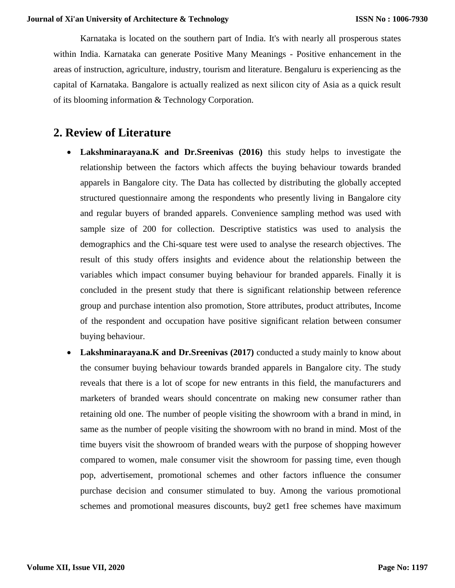Karnataka is located on the southern part of India. It's with nearly all prosperous states within India. Karnataka can generate Positive Many Meanings - Positive enhancement in the areas of instruction, agriculture, industry, tourism and literature. Bengaluru is experiencing as the capital of Karnataka. Bangalore is actually realized as next silicon city of Asia as a quick result of its blooming information & Technology Corporation.

# **2. Review of Literature**

- **Lakshminarayana.K and Dr.Sreenivas (2016)** this study helps to investigate the relationship between the factors which affects the buying behaviour towards branded apparels in Bangalore city. The Data has collected by distributing the globally accepted structured questionnaire among the respondents who presently living in Bangalore city and regular buyers of branded apparels. Convenience sampling method was used with sample size of 200 for collection. Descriptive statistics was used to analysis the demographics and the Chi-square test were used to analyse the research objectives. The result of this study offers insights and evidence about the relationship between the variables which impact consumer buying behaviour for branded apparels. Finally it is concluded in the present study that there is significant relationship between reference group and purchase intention also promotion, Store attributes, product attributes, Income of the respondent and occupation have positive significant relation between consumer buying behaviour.
- **Lakshminarayana.K and Dr.Sreenivas (2017)** conducted a study mainly to know about the consumer buying behaviour towards branded apparels in Bangalore city. The study reveals that there is a lot of scope for new entrants in this field, the manufacturers and marketers of branded wears should concentrate on making new consumer rather than retaining old one. The number of people visiting the showroom with a brand in mind, in same as the number of people visiting the showroom with no brand in mind. Most of the time buyers visit the showroom of branded wears with the purpose of shopping however compared to women, male consumer visit the showroom for passing time, even though pop, advertisement, promotional schemes and other factors influence the consumer purchase decision and consumer stimulated to buy. Among the various promotional schemes and promotional measures discounts, buy2 get1 free schemes have maximum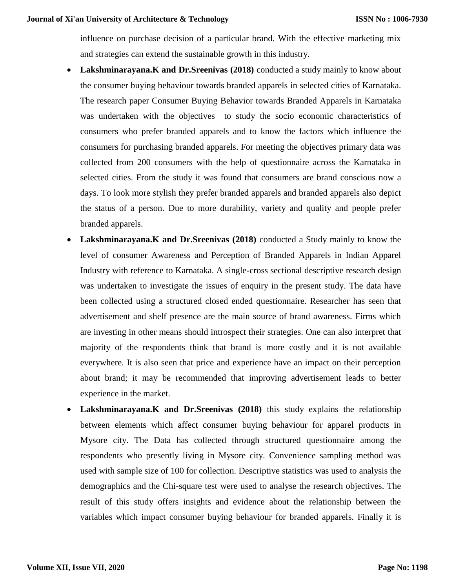influence on purchase decision of a particular brand. With the effective marketing mix and strategies can extend the sustainable growth in this industry.

- Lakshminarayana.K and Dr.Sreenivas (2018) conducted a study mainly to know about the consumer buying behaviour towards branded apparels in selected cities of Karnataka. The research paper Consumer Buying Behavior towards Branded Apparels in Karnataka was undertaken with the objectives to study the socio economic characteristics of consumers who prefer branded apparels and to know the factors which influence the consumers for purchasing branded apparels. For meeting the objectives primary data was collected from 200 consumers with the help of questionnaire across the Karnataka in selected cities. From the study it was found that consumers are brand conscious now a days. To look more stylish they prefer branded apparels and branded apparels also depict the status of a person. Due to more durability, variety and quality and people prefer branded apparels.
- **Lakshminarayana.K and Dr.Sreenivas (2018)** conducted a Study mainly to know the level of consumer Awareness and Perception of Branded Apparels in Indian Apparel Industry with reference to Karnataka. A single-cross sectional descriptive research design was undertaken to investigate the issues of enquiry in the present study. The data have been collected using a structured closed ended questionnaire. Researcher has seen that advertisement and shelf presence are the main source of brand awareness. Firms which are investing in other means should introspect their strategies. One can also interpret that majority of the respondents think that brand is more costly and it is not available everywhere. It is also seen that price and experience have an impact on their perception about brand; it may be recommended that improving advertisement leads to better experience in the market.
- **Lakshminarayana.K and Dr.Sreenivas (2018)** this study explains the relationship between elements which affect consumer buying behaviour for apparel products in Mysore city. The Data has collected through structured questionnaire among the respondents who presently living in Mysore city. Convenience sampling method was used with sample size of 100 for collection. Descriptive statistics was used to analysis the demographics and the Chi-square test were used to analyse the research objectives. The result of this study offers insights and evidence about the relationship between the variables which impact consumer buying behaviour for branded apparels. Finally it is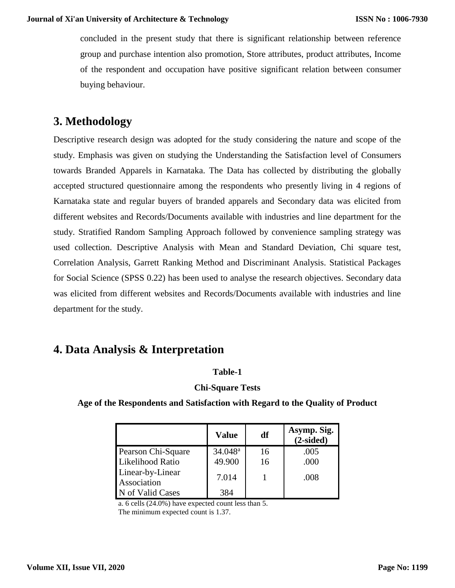concluded in the present study that there is significant relationship between reference group and purchase intention also promotion, Store attributes, product attributes, Income of the respondent and occupation have positive significant relation between consumer buying behaviour.

# **3. Methodology**

Descriptive research design was adopted for the study considering the nature and scope of the study. Emphasis was given on studying the Understanding the Satisfaction level of Consumers towards Branded Apparels in Karnataka. The Data has collected by distributing the globally accepted structured questionnaire among the respondents who presently living in 4 regions of Karnataka state and regular buyers of branded apparels and Secondary data was elicited from different websites and Records/Documents available with industries and line department for the study. Stratified Random Sampling Approach followed by convenience sampling strategy was used collection. Descriptive Analysis with Mean and Standard Deviation, Chi square test, Correlation Analysis, Garrett Ranking Method and Discriminant Analysis. Statistical Packages for Social Science (SPSS 0.22) has been used to analyse the research objectives. Secondary data was elicited from different websites and Records/Documents available with industries and line department for the study.

# **4. Data Analysis & Interpretation**

#### **Table-1**

#### **Chi-Square Tests**

**Age of the Respondents and Satisfaction with Regard to the Quality of Product**

|                                 | Value            | df | Asymp. Sig.<br>$(2-sided)$ |
|---------------------------------|------------------|----|----------------------------|
| Pearson Chi-Square              | $34.048^{\rm a}$ | 16 | .005                       |
| Likelihood Ratio                | 49.900           | 16 | .000                       |
| Linear-by-Linear<br>Association | 7.014            |    | .008                       |
| N of Valid Cases                | 384              |    |                            |

a. 6 cells (24.0%) have expected count less than 5. The minimum expected count is 1.37.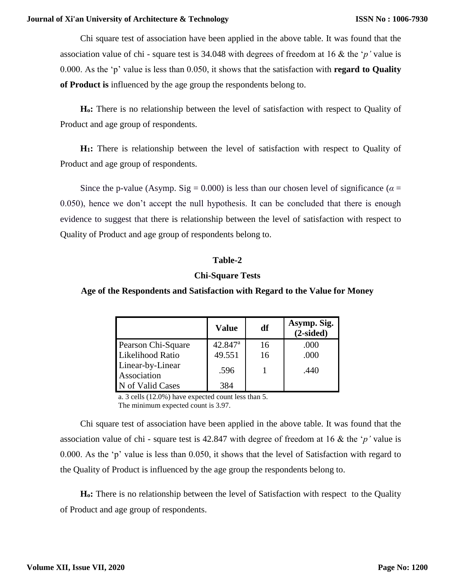Chi square test of association have been applied in the above table. It was found that the association value of chi - square test is 34.048 with degrees of freedom at 16 & the '*p'* value is 0.000. As the 'p' value is less than 0.050, it shows that the satisfaction with **regard to Quality of Product is** influenced by the age group the respondents belong to.

**Ho:** There is no relationship between the level of satisfaction with respect to Quality of Product and age group of respondents.

**H1:** There is relationship between the level of satisfaction with respect to Quality of Product and age group of respondents.

Since the p-value (Asymp. Sig = 0.000) is less than our chosen level of significance ( $\alpha$  = 0.050), hence we don't accept the null hypothesis. It can be concluded that there is enough evidence to suggest that there is relationship between the level of satisfaction with respect to Quality of Product and age group of respondents belong to.

#### **Table-2**

#### **Chi-Square Tests**

#### **Age of the Respondents and Satisfaction with Regard to the Value for Money**

|                                 | <b>Value</b>          | df | Asymp. Sig.<br>$(2-sided)$ |
|---------------------------------|-----------------------|----|----------------------------|
| Pearson Chi-Square              | $42.847$ <sup>a</sup> | 16 | .000                       |
| Likelihood Ratio                | 49.551                | 16 | .000                       |
| Linear-by-Linear<br>Association | .596                  |    | .440                       |
| N of Valid Cases                | 384                   |    |                            |

a. 3 cells (12.0%) have expected count less than 5. The minimum expected count is 3.97.

Chi square test of association have been applied in the above table. It was found that the association value of chi - square test is 42.847 with degree of freedom at 16 & the '*p'* value is 0.000. As the 'p' value is less than 0.050, it shows that the level of Satisfaction with regard to the Quality of Product is influenced by the age group the respondents belong to.

**Ho:** There is no relationship between the level of Satisfaction with respect to the Quality of Product and age group of respondents.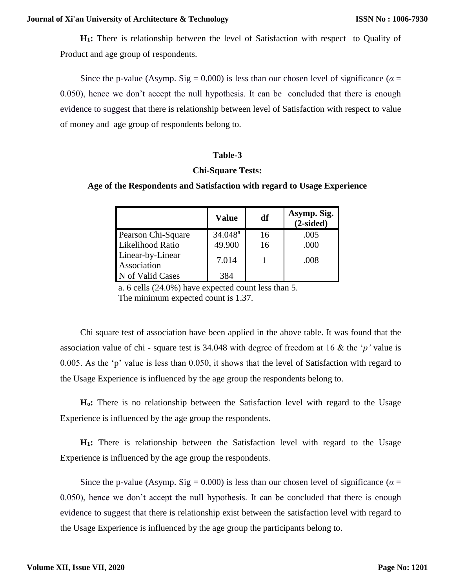#### **Journal of Xi'an University of Architecture & Technology**

**H1:** There is relationship between the level of Satisfaction with respect to Quality of Product and age group of respondents.

Since the p-value (Asymp. Sig = 0.000) is less than our chosen level of significance ( $\alpha$  = 0.050), hence we don't accept the null hypothesis. It can be concluded that there is enough evidence to suggest that there is relationship between level of Satisfaction with respect to value of money and age group of respondents belong to.

#### **Table-3**

#### **Chi-Square Tests:**

#### **Age of the Respondents and Satisfaction with regard to Usage Experience**

|                                 | <b>Value</b>     | df | Asymp. Sig.<br>$(2-sided)$ |
|---------------------------------|------------------|----|----------------------------|
| Pearson Chi-Square              | $34.048^{\rm a}$ | 16 | .005                       |
| Likelihood Ratio                | 49.900           | 16 | .000                       |
| Linear-by-Linear<br>Association | 7.014            |    | .008                       |
| N of Valid Cases                | 384              |    |                            |

a. 6 cells (24.0%) have expected count less than 5. The minimum expected count is 1.37.

Chi square test of association have been applied in the above table. It was found that the association value of chi - square test is 34.048 with degree of freedom at 16 & the '*p'* value is 0.005. As the 'p' value is less than 0.050, it shows that the level of Satisfaction with regard to the Usage Experience is influenced by the age group the respondents belong to.

**Ho:** There is no relationship between the Satisfaction level with regard to the Usage Experience is influenced by the age group the respondents.

**H1:** There is relationship between the Satisfaction level with regard to the Usage Experience is influenced by the age group the respondents.

Since the p-value (Asymp. Sig = 0.000) is less than our chosen level of significance ( $\alpha$  = 0.050), hence we don't accept the null hypothesis. It can be concluded that there is enough evidence to suggest that there is relationship exist between the satisfaction level with regard to the Usage Experience is influenced by the age group the participants belong to.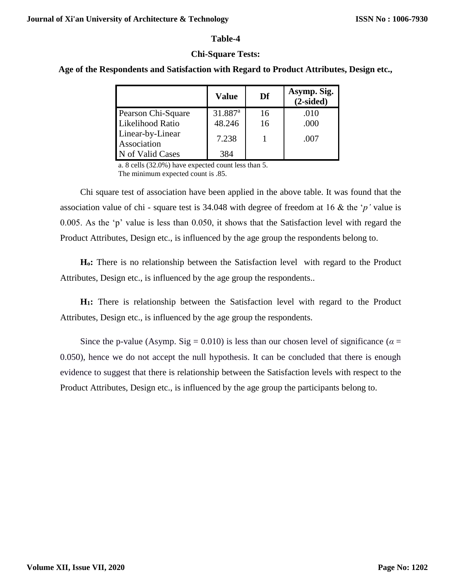#### **Table-4**

#### **Chi-Square Tests:**

#### **Age of the Respondents and Satisfaction with Regard to Product Attributes, Design etc.,**

|                                 | <b>Value</b>        | Df | Asymp. Sig.<br>$(2-sided)$ |
|---------------------------------|---------------------|----|----------------------------|
| Pearson Chi-Square              | 31.887 <sup>a</sup> | 16 | .010                       |
| Likelihood Ratio                | 48.246              | 16 | .000                       |
| Linear-by-Linear<br>Association | 7.238               |    | .007                       |
| N of Valid Cases                | 384                 |    |                            |

a. 8 cells (32.0%) have expected count less than 5. The minimum expected count is .85.

Chi square test of association have been applied in the above table. It was found that the association value of chi - square test is 34.048 with degree of freedom at 16 & the '*p'* value is 0.005. As the 'p' value is less than 0.050, it shows that the Satisfaction level with regard the Product Attributes, Design etc., is influenced by the age group the respondents belong to.

**Ho:** There is no relationship between the Satisfaction level with regard to the Product Attributes, Design etc., is influenced by the age group the respondents..

**H1:** There is relationship between the Satisfaction level with regard to the Product Attributes, Design etc., is influenced by the age group the respondents.

Since the p-value (Asymp. Sig = 0.010) is less than our chosen level of significance ( $\alpha$  = 0.050), hence we do not accept the null hypothesis. It can be concluded that there is enough evidence to suggest that there is relationship between the Satisfaction levels with respect to the Product Attributes, Design etc., is influenced by the age group the participants belong to.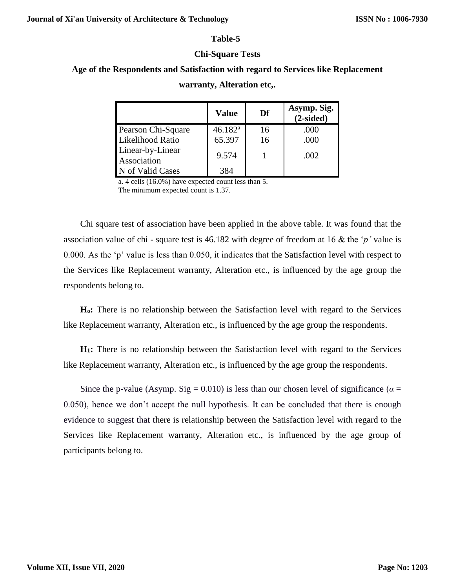#### **Table-5**

#### **Chi-Square Tests**

### **Age of the Respondents and Satisfaction with regard to Services like Replacement**

|                                 | <b>Value</b>        | Df | Asymp. Sig.<br>$(2-sided)$ |
|---------------------------------|---------------------|----|----------------------------|
| Pearson Chi-Square              | 46.182 <sup>a</sup> | 16 | .000                       |
| Likelihood Ratio                | 65.397              | 16 | .000                       |
| Linear-by-Linear<br>Association | 9.574               |    | .002                       |
| N of Valid Cases                | 384                 |    |                            |

#### **warranty, Alteration etc,.**

a. 4 cells (16.0%) have expected count less than 5.

The minimum expected count is 1.37.

Chi square test of association have been applied in the above table. It was found that the association value of chi - square test is 46.182 with degree of freedom at 16 & the '*p'* value is 0.000. As the 'p' value is less than 0.050, it indicates that the Satisfaction level with respect to the Services like Replacement warranty, Alteration etc., is influenced by the age group the respondents belong to.

**Ho:** There is no relationship between the Satisfaction level with regard to the Services like Replacement warranty, Alteration etc., is influenced by the age group the respondents.

**H1:** There is no relationship between the Satisfaction level with regard to the Services like Replacement warranty, Alteration etc., is influenced by the age group the respondents.

Since the p-value (Asymp. Sig = 0.010) is less than our chosen level of significance ( $\alpha$  = 0.050), hence we don't accept the null hypothesis. It can be concluded that there is enough evidence to suggest that there is relationship between the Satisfaction level with regard to the Services like Replacement warranty, Alteration etc., is influenced by the age group of participants belong to.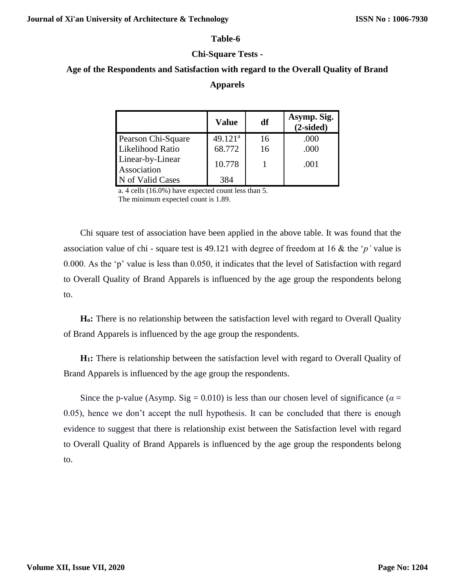#### **Table-6**

#### **Chi-Square Tests -**

### **Age of the Respondents and Satisfaction with regard to the Overall Quality of Brand Apparels**

|                                 | Value               | df | Asymp. Sig.<br>$(2-sided)$ |
|---------------------------------|---------------------|----|----------------------------|
| Pearson Chi-Square              | 49.121 <sup>a</sup> | 16 | .000                       |
| Likelihood Ratio                | 68.772              | 16 | .000                       |
| Linear-by-Linear<br>Association | 10.778              |    | .001                       |
| N of Valid Cases                | 384                 |    |                            |

a. 4 cells (16.0%) have expected count less than 5. The minimum expected count is 1.89.

Chi square test of association have been applied in the above table. It was found that the association value of chi - square test is 49.121 with degree of freedom at 16 & the '*p'* value is 0.000. As the 'p' value is less than 0.050, it indicates that the level of Satisfaction with regard to Overall Quality of Brand Apparels is influenced by the age group the respondents belong to.

**Ho:** There is no relationship between the satisfaction level with regard to Overall Quality of Brand Apparels is influenced by the age group the respondents.

**H1:** There is relationship between the satisfaction level with regard to Overall Quality of Brand Apparels is influenced by the age group the respondents.

Since the p-value (Asymp. Sig = 0.010) is less than our chosen level of significance ( $\alpha$  = 0.05), hence we don't accept the null hypothesis. It can be concluded that there is enough evidence to suggest that there is relationship exist between the Satisfaction level with regard to Overall Quality of Brand Apparels is influenced by the age group the respondents belong to.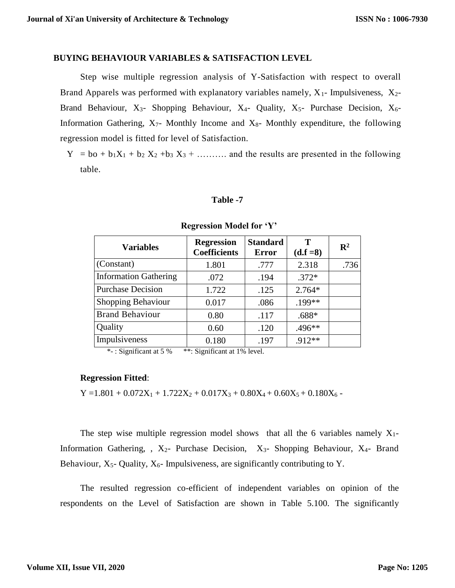#### **BUYING BEHAVIOUR VARIABLES & SATISFACTION LEVEL**

Step wise multiple regression analysis of Y-Satisfaction with respect to overall Brand Apparels was performed with explanatory variables namely,  $X_1$ - Impulsiveness,  $X_2$ -Brand Behaviour,  $X_3$ - Shopping Behaviour,  $X_4$ - Quality,  $X_5$ - Purchase Decision,  $X_6$ -Information Gathering,  $X_7$ - Monthly Income and  $X_8$ - Monthly expenditure, the following regression model is fitted for level of Satisfaction.

 $Y = bo + b_1X_1 + b_2X_2 + b_3X_3 + \dots$  and the results are presented in the following table.

#### **Table -7**

| <b>Variables</b>             | <b>Regression</b><br><b>Coefficients</b> | <b>Standard</b><br><b>Error</b> | Т<br>$(d.f = 8)$ | $\mathbf{R}^2$ |
|------------------------------|------------------------------------------|---------------------------------|------------------|----------------|
| (Constant)                   | 1.801                                    | .777                            | 2.318            | .736           |
| <b>Information Gathering</b> | .072                                     | .194                            | $.372*$          |                |
| <b>Purchase Decision</b>     | 1.722                                    | .125                            | $2.764*$         |                |
| Shopping Behaviour           | 0.017                                    | .086                            | .199**           |                |
| <b>Brand Behaviour</b>       | 0.80                                     | .117                            | $.688*$          |                |
| Quality                      | 0.60                                     | .120                            | .496**           |                |
| Impulsiveness                | 0.180                                    | .197                            | .912**           |                |

#### **Regression Model for 'Y'**

\*- : Significant at 5 % \*\*: Significant at 1% level.

#### **Regression Fitted**:

 $Y = 1.801 + 0.072X_1 + 1.722X_2 + 0.017X_3 + 0.80X_4 + 0.60X_5 + 0.180X_6$ 

The step wise multiple regression model shows that all the 6 variables namely  $X_1$ -Information Gathering, ,  $X_2$ - Purchase Decision,  $X_3$ - Shopping Behaviour,  $X_4$ - Brand Behaviour,  $X_5$ - Quality,  $X_6$ - Impulsiveness, are significantly contributing to Y.

The resulted regression co-efficient of independent variables on opinion of the respondents on the Level of Satisfaction are shown in Table 5.100. The significantly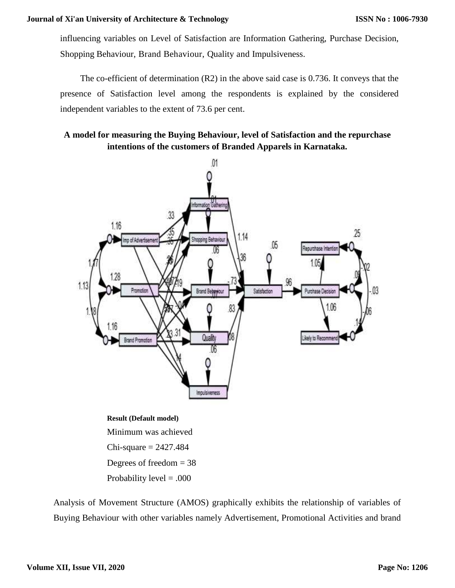influencing variables on Level of Satisfaction are Information Gathering, Purchase Decision, Shopping Behaviour, Brand Behaviour, Quality and Impulsiveness.

The co-efficient of determination (R2) in the above said case is 0.736. It conveys that the presence of Satisfaction level among the respondents is explained by the considered independent variables to the extent of 73.6 per cent.

### **A model for measuring the Buying Behaviour, level of Satisfaction and the repurchase intentions of the customers of Branded Apparels in Karnataka.**



Minimum was achieved  $Chi-square = 2427.484$ Degrees of freedom  $= 38$ Probability level  $= .000$ 

Analysis of Movement Structure (AMOS) graphically exhibits the relationship of variables of Buying Behaviour with other variables namely Advertisement, Promotional Activities and brand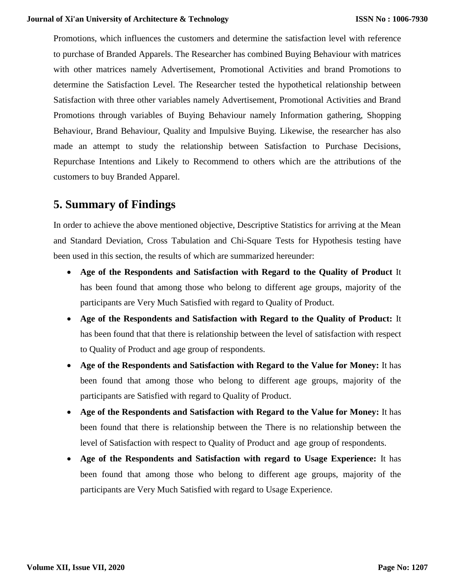Promotions, which influences the customers and determine the satisfaction level with reference to purchase of Branded Apparels. The Researcher has combined Buying Behaviour with matrices with other matrices namely Advertisement, Promotional Activities and brand Promotions to determine the Satisfaction Level. The Researcher tested the hypothetical relationship between Satisfaction with three other variables namely Advertisement, Promotional Activities and Brand Promotions through variables of Buying Behaviour namely Information gathering, Shopping Behaviour, Brand Behaviour, Quality and Impulsive Buying. Likewise, the researcher has also made an attempt to study the relationship between Satisfaction to Purchase Decisions, Repurchase Intentions and Likely to Recommend to others which are the attributions of the customers to buy Branded Apparel.

# **5. Summary of Findings**

In order to achieve the above mentioned objective, Descriptive Statistics for arriving at the Mean and Standard Deviation, Cross Tabulation and Chi-Square Tests for Hypothesis testing have been used in this section, the results of which are summarized hereunder:

- **Age of the Respondents and Satisfaction with Regard to the Quality of Product** It has been found that among those who belong to different age groups, majority of the participants are Very Much Satisfied with regard to Quality of Product.
- **Age of the Respondents and Satisfaction with Regard to the Quality of Product:** It has been found that that there is relationship between the level of satisfaction with respect to Quality of Product and age group of respondents.
- **Age of the Respondents and Satisfaction with Regard to the Value for Money:** It has been found that among those who belong to different age groups, majority of the participants are Satisfied with regard to Quality of Product.
- **Age of the Respondents and Satisfaction with Regard to the Value for Money:** It has been found that there is relationship between the There is no relationship between the level of Satisfaction with respect to Quality of Product and age group of respondents.
- **Age of the Respondents and Satisfaction with regard to Usage Experience:** It has been found that among those who belong to different age groups, majority of the participants are Very Much Satisfied with regard to Usage Experience.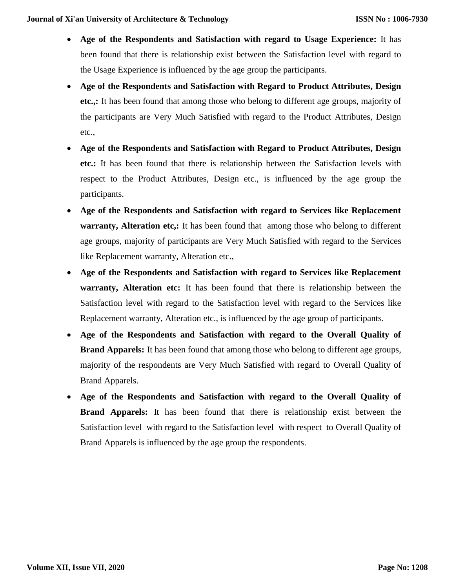- **Age of the Respondents and Satisfaction with regard to Usage Experience:** It has been found that there is relationship exist between the Satisfaction level with regard to the Usage Experience is influenced by the age group the participants.
- **Age of the Respondents and Satisfaction with Regard to Product Attributes, Design etc.,:** It has been found that among those who belong to different age groups, majority of the participants are Very Much Satisfied with regard to the Product Attributes, Design etc.,
- **Age of the Respondents and Satisfaction with Regard to Product Attributes, Design etc.:** It has been found that there is relationship between the Satisfaction levels with respect to the Product Attributes, Design etc., is influenced by the age group the participants.
- **Age of the Respondents and Satisfaction with regard to Services like Replacement warranty, Alteration etc.:** It has been found that among those who belong to different age groups, majority of participants are Very Much Satisfied with regard to the Services like Replacement warranty, Alteration etc.,
- **Age of the Respondents and Satisfaction with regard to Services like Replacement warranty, Alteration etc:** It has been found that there is relationship between the Satisfaction level with regard to the Satisfaction level with regard to the Services like Replacement warranty, Alteration etc., is influenced by the age group of participants.
- **Age of the Respondents and Satisfaction with regard to the Overall Quality of Brand Apparels:** It has been found that among those who belong to different age groups, majority of the respondents are Very Much Satisfied with regard to Overall Quality of Brand Apparels.
- **Age of the Respondents and Satisfaction with regard to the Overall Quality of Brand Apparels:** It has been found that there is relationship exist between the Satisfaction level with regard to the Satisfaction level with respect to Overall Quality of Brand Apparels is influenced by the age group the respondents.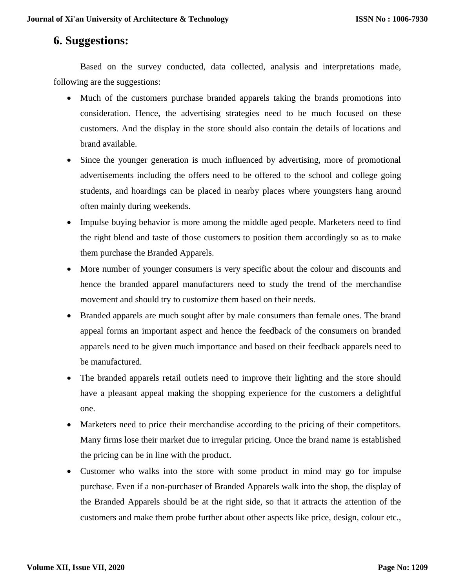### **6. Suggestions:**

Based on the survey conducted, data collected, analysis and interpretations made, following are the suggestions:

- Much of the customers purchase branded apparels taking the brands promotions into consideration. Hence, the advertising strategies need to be much focused on these customers. And the display in the store should also contain the details of locations and brand available.
- Since the younger generation is much influenced by advertising, more of promotional advertisements including the offers need to be offered to the school and college going students, and hoardings can be placed in nearby places where youngsters hang around often mainly during weekends.
- Impulse buying behavior is more among the middle aged people. Marketers need to find the right blend and taste of those customers to position them accordingly so as to make them purchase the Branded Apparels.
- More number of younger consumers is very specific about the colour and discounts and hence the branded apparel manufacturers need to study the trend of the merchandise movement and should try to customize them based on their needs.
- Branded apparels are much sought after by male consumers than female ones. The brand appeal forms an important aspect and hence the feedback of the consumers on branded apparels need to be given much importance and based on their feedback apparels need to be manufactured.
- The branded apparels retail outlets need to improve their lighting and the store should have a pleasant appeal making the shopping experience for the customers a delightful one.
- Marketers need to price their merchandise according to the pricing of their competitors. Many firms lose their market due to irregular pricing. Once the brand name is established the pricing can be in line with the product.
- Customer who walks into the store with some product in mind may go for impulse purchase. Even if a non-purchaser of Branded Apparels walk into the shop, the display of the Branded Apparels should be at the right side, so that it attracts the attention of the customers and make them probe further about other aspects like price, design, colour etc.,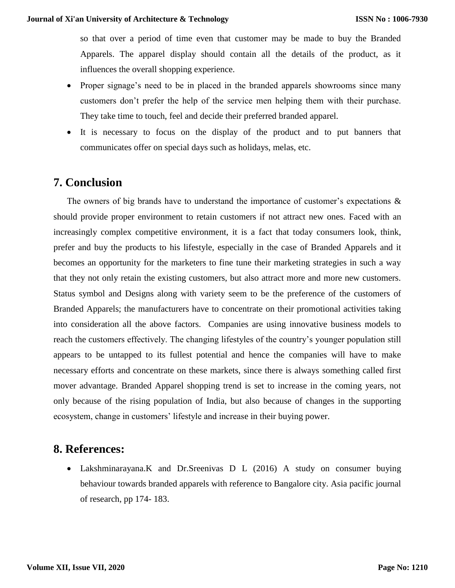so that over a period of time even that customer may be made to buy the Branded Apparels. The apparel display should contain all the details of the product, as it influences the overall shopping experience.

- Proper signage's need to be in placed in the branded apparels showrooms since many customers don't prefer the help of the service men helping them with their purchase. They take time to touch, feel and decide their preferred branded apparel.
- It is necessary to focus on the display of the product and to put banners that communicates offer on special days such as holidays, melas, etc.

## **7. Conclusion**

The owners of big brands have to understand the importance of customer's expectations  $\&$ should provide proper environment to retain customers if not attract new ones. Faced with an increasingly complex competitive environment, it is a fact that today consumers look, think, prefer and buy the products to his lifestyle, especially in the case of Branded Apparels and it becomes an opportunity for the marketers to fine tune their marketing strategies in such a way that they not only retain the existing customers, but also attract more and more new customers. Status symbol and Designs along with variety seem to be the preference of the customers of Branded Apparels; the manufacturers have to concentrate on their promotional activities taking into consideration all the above factors. Companies are using innovative business models to reach the customers effectively. The changing lifestyles of the country's younger population still appears to be untapped to its fullest potential and hence the companies will have to make necessary efforts and concentrate on these markets, since there is always something called first mover advantage. Branded Apparel shopping trend is set to increase in the coming years, not only because of the rising population of India, but also because of changes in the supporting ecosystem, change in customers' lifestyle and increase in their buying power.

### **8. References:**

 Lakshminarayana.K and Dr.Sreenivas D L (2016) A study on consumer buying behaviour towards branded apparels with reference to Bangalore city. Asia pacific journal of research, pp 174- 183.